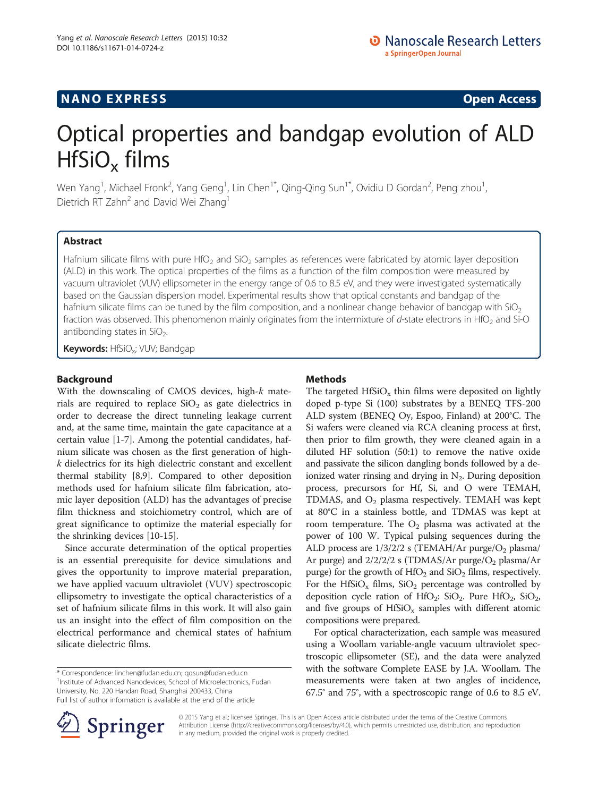## **NANO EXPRESS** Open Access **CONSTRUCTER**

# Optical properties and bandgap evolution of ALD  $HfSiO<sub>x</sub>$  films

Wen Yang $^1$ , Michael Fronk $^2$ , Yang Geng $^1$ , Lin Chen $^{\circ\ast}$ , Qing-Qing Sun $^{\circ\ast}$ , Ovidiu D Gordan $^2$ , Peng zhou $^1$ , Dietrich RT Zahn<sup>2</sup> and David Wei Zhang<sup>1</sup>

## Abstract

Hafnium silicate films with pure HfO<sub>2</sub> and SiO<sub>2</sub> samples as references were fabricated by atomic layer deposition (ALD) in this work. The optical properties of the films as a function of the film composition were measured by vacuum ultraviolet (VUV) ellipsometer in the energy range of 0.6 to 8.5 eV, and they were investigated systematically based on the Gaussian dispersion model. Experimental results show that optical constants and bandgap of the hafnium silicate films can be tuned by the film composition, and a nonlinear change behavior of bandgap with  $SiO<sub>2</sub>$ fraction was observed. This phenomenon mainly originates from the intermixture of  $d$ -state electrons in HfO<sub>2</sub> and Si-O antibonding states in  $SiO<sub>2</sub>$ .

Keywords: HfSiO<sub>x</sub>; VUV; Bandgap

## Background

With the downscaling of CMOS devices, high-k materials are required to replace  $SiO<sub>2</sub>$  as gate dielectrics in order to decrease the direct tunneling leakage current and, at the same time, maintain the gate capacitance at a certain value [\[1](#page-4-0)-[7\]](#page-4-0). Among the potential candidates, hafnium silicate was chosen as the first generation of highk dielectrics for its high dielectric constant and excellent thermal stability [[8,9\]](#page-4-0). Compared to other deposition methods used for hafnium silicate film fabrication, atomic layer deposition (ALD) has the advantages of precise film thickness and stoichiometry control, which are of great significance to optimize the material especially for the shrinking devices [\[10](#page-4-0)-[15](#page-4-0)].

Since accurate determination of the optical properties is an essential prerequisite for device simulations and gives the opportunity to improve material preparation, we have applied vacuum ultraviolet (VUV) spectroscopic ellipsometry to investigate the optical characteristics of a set of hafnium silicate films in this work. It will also gain us an insight into the effect of film composition on the electrical performance and chemical states of hafnium silicate dielectric films.

\* Correspondence: [linchen@fudan.edu.cn;](mailto:linchen@fudan.edu.cn) [qqsun@fudan.edu.cn](mailto:qqsun@fudan.edu.cn) <sup>1</sup> <sup>1</sup>Institute of Advanced Nanodevices, School of Microelectronics, Fudan University, No. 220 Handan Road, Shanghai 200433, China Full list of author information is available at the end of the article

## Methods

The targeted  $HfSiO<sub>x</sub>$  thin films were deposited on lightly doped p-type Si (100) substrates by a BENEQ TFS-200 ALD system (BENEQ Oy, Espoo, Finland) at 200°C. The Si wafers were cleaned via RCA cleaning process at first, then prior to film growth, they were cleaned again in a diluted HF solution (50:1) to remove the native oxide and passivate the silicon dangling bonds followed by a deionized water rinsing and drying in  $N<sub>2</sub>$ . During deposition process, precursors for Hf, Si, and O were TEMAH, TDMAS, and  $O_2$  plasma respectively. TEMAH was kept at 80°C in a stainless bottle, and TDMAS was kept at room temperature. The  $O_2$  plasma was activated at the power of 100 W. Typical pulsing sequences during the ALD process are  $1/3/2/2$  s (TEMAH/Ar purge/ $O<sub>2</sub>$  plasma/ Ar purge) and  $2/2/2/2$  s (TDMAS/Ar purge/ $O<sub>2</sub>$  plasma/Ar purge) for the growth of  $HfO<sub>2</sub>$  and  $SiO<sub>2</sub>$  films, respectively. For the HfSiO<sub>x</sub> films, SiO<sub>2</sub> percentage was controlled by deposition cycle ration of  $HfO_2$ : SiO<sub>2</sub>. Pure  $HfO_2$ , SiO<sub>2</sub>, and five groups of  $HfSiO<sub>x</sub>$  samples with different atomic compositions were prepared.

For optical characterization, each sample was measured using a Woollam variable-angle vacuum ultraviolet spectroscopic ellipsometer (SE), and the data were analyzed with the software Complete EASE by J.A. Woollam. The measurements were taken at two angles of incidence, 67.5° and 75°, with a spectroscopic range of 0.6 to 8.5 eV.



© 2015 Yang et al.; licensee Springer. This is an Open Access article distributed under the terms of the Creative Commons Attribution License [\(http://creativecommons.org/licenses/by/4.0\)](http://creativecommons.org/licenses/by/4.0), which permits unrestricted use, distribution, and reproduction in any medium, provided the original work is properly credited.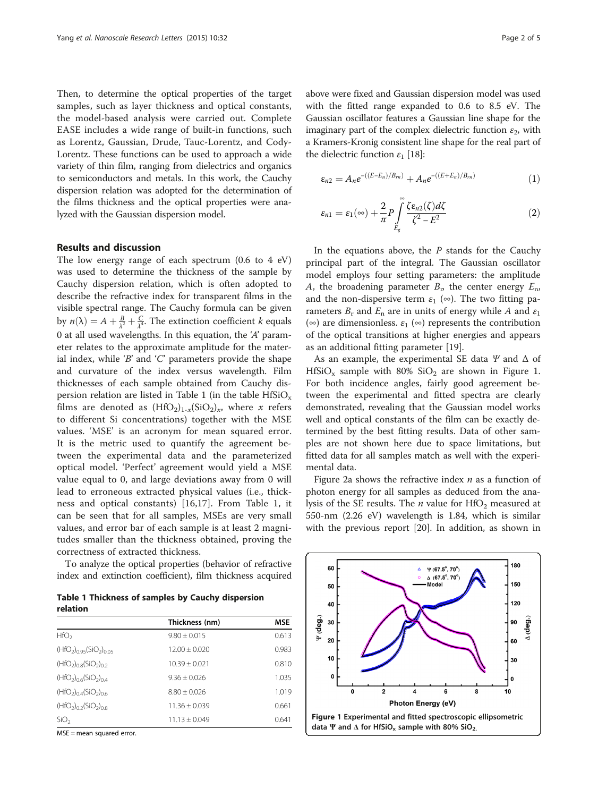Then, to determine the optical properties of the target samples, such as layer thickness and optical constants, the model-based analysis were carried out. Complete EASE includes a wide range of built-in functions, such as Lorentz, Gaussian, Drude, Tauc-Lorentz, and Cody-Lorentz. These functions can be used to approach a wide variety of thin film, ranging from dielectrics and organics to semiconductors and metals. In this work, the Cauchy dispersion relation was adopted for the determination of the films thickness and the optical properties were analyzed with the Gaussian dispersion model.

## Results and discussion

The low energy range of each spectrum (0.6 to 4 eV) was used to determine the thickness of the sample by Cauchy dispersion relation, which is often adopted to describe the refractive index for transparent films in the visible spectral range. The Cauchy formula can be given by  $n(\lambda) = A + \frac{B}{\lambda^2} + \frac{C}{\lambda^4}$ . The extinction coefficient k equals 0 at all used wavelengths. In this equation, the 'A' parameter relates to the approximate amplitude for the material index, while 'B' and 'C' parameters provide the shape and curvature of the index versus wavelength. Film thicknesses of each sample obtained from Cauchy dispersion relation are listed in Table 1 (in the table  $HfSiO<sub>x</sub>$ films are denoted as  $(HfO<sub>2</sub>)<sub>1-x</sub>(SiO<sub>2</sub>)<sub>x</sub>$ , where x refers to different Si concentrations) together with the MSE values. 'MSE' is an acronym for mean squared error. It is the metric used to quantify the agreement between the experimental data and the parameterized optical model. 'Perfect' agreement would yield a MSE value equal to 0, and large deviations away from 0 will lead to erroneous extracted physical values (i.e., thickness and optical constants) [\[16](#page-4-0),[17\]](#page-4-0). From Table 1, it can be seen that for all samples, MSEs are very small values, and error bar of each sample is at least 2 magnitudes smaller than the thickness obtained, proving the correctness of extracted thickness.

To analyze the optical properties (behavior of refractive index and extinction coefficient), film thickness acquired

Table 1 Thickness of samples by Cauchy dispersion relation

|                                    | Thickness (nm)    | <b>MSE</b> |
|------------------------------------|-------------------|------------|
| HfO <sub>2</sub>                   | $9.80 \pm 0.015$  | 0.613      |
| $(HfO2)0.95(SiO2)0.05$             | $12.00 + 0.020$   | 0.983      |
| $(HfO2)0.8(SiO2)0.2$               | $10.39 + 0.021$   | 0.810      |
| $(HfO2)0.6(SiO2)0.4$               | $9.36 + 0.026$    | 1.035      |
| $(HfO2)0.4(SiO2)0.6$               | $8.80 + 0.026$    | 1.019      |
| $(HfO2)0$ <sub>2</sub> $(SiO2)0.8$ | $11.36 + 0.039$   | 0.661      |
| SiO <sub>2</sub>                   | $11.13 \pm 0.049$ | 0.641      |
|                                    |                   |            |

MSE = mean squared error.

above were fixed and Gaussian dispersion model was used with the fitted range expanded to 0.6 to 8.5 eV. The Gaussian oscillator features a Gaussian line shape for the imaginary part of the complex dielectric function  $\varepsilon_2$ , with a Kramers-Kronig consistent line shape for the real part of the dielectric function  $ε_1$  [[18](#page-4-0)]:

$$
\varepsilon_{n2} = A_n e^{-((E - E_n)/B_{rn})} + A_n e^{-((E + E_n)/B_{rn})}
$$
(1)

$$
\varepsilon_{n1} = \varepsilon_1(\infty) + \frac{2}{\pi} P \int_{E_g}^{\infty} \frac{\zeta \varepsilon_{n2}(\zeta) d\zeta}{\zeta^2 - E^2}
$$
 (2)

In the equations above, the  $P$  stands for the Cauchy principal part of the integral. The Gaussian oscillator model employs four setting parameters: the amplitude A, the broadening parameter  $B_n$ , the center energy  $E_n$ , and the non-dispersive term  $\varepsilon_1$  ( $\infty$ ). The two fitting parameters  $B_r$  and  $E_n$  are in units of energy while A and  $\varepsilon_1$ (∞) are dimensionless.  $\varepsilon_1$  (∞) represents the contribution of the optical transitions at higher energies and appears as an additional fitting parameter [\[19](#page-4-0)].

As an example, the experimental SE data  $\Psi$  and  $\Delta$  of  $HfSiO<sub>x</sub>$  sample with 80%  $SiO<sub>2</sub>$  are shown in Figure 1. For both incidence angles, fairly good agreement between the experimental and fitted spectra are clearly demonstrated, revealing that the Gaussian model works well and optical constants of the film can be exactly determined by the best fitting results. Data of other samples are not shown here due to space limitations, but fitted data for all samples match as well with the experimental data.

Figure [2a](#page-2-0) shows the refractive index  $n$  as a function of photon energy for all samples as deduced from the analysis of the SE results. The *n* value for  $HfO<sub>2</sub>$  measured at 550-nm (2.26 eV) wavelength is 1.84, which is similar with the previous report [\[20](#page-4-0)]. In addition, as shown in

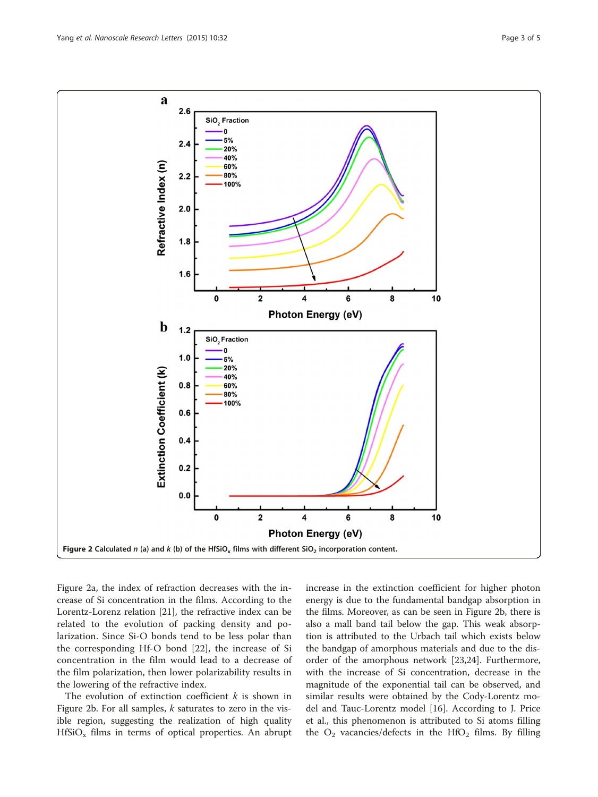<span id="page-2-0"></span>

Figure 2a, the index of refraction decreases with the increase of Si concentration in the films. According to the Lorentz-Lorenz relation [[21](#page-4-0)], the refractive index can be related to the evolution of packing density and polarization. Since Si-O bonds tend to be less polar than the corresponding Hf-O bond [\[22](#page-4-0)], the increase of Si concentration in the film would lead to a decrease of the film polarization, then lower polarizability results in the lowering of the refractive index.

The evolution of extinction coefficient  $k$  is shown in Figure 2b. For all samples,  $k$  saturates to zero in the visible region, suggesting the realization of high quality  $HfSiO<sub>x</sub>$  films in terms of optical properties. An abrupt increase in the extinction coefficient for higher photon energy is due to the fundamental bandgap absorption in the films. Moreover, as can be seen in Figure 2b, there is also a mall band tail below the gap. This weak absorption is attributed to the Urbach tail which exists below the bandgap of amorphous materials and due to the disorder of the amorphous network [[23,24\]](#page-4-0). Furthermore, with the increase of Si concentration, decrease in the magnitude of the exponential tail can be observed, and similar results were obtained by the Cody-Lorentz model and Tauc-Lorentz model [\[16\]](#page-4-0). According to J. Price et al., this phenomenon is attributed to Si atoms filling the  $O_2$  vacancies/defects in the HfO<sub>2</sub> films. By filling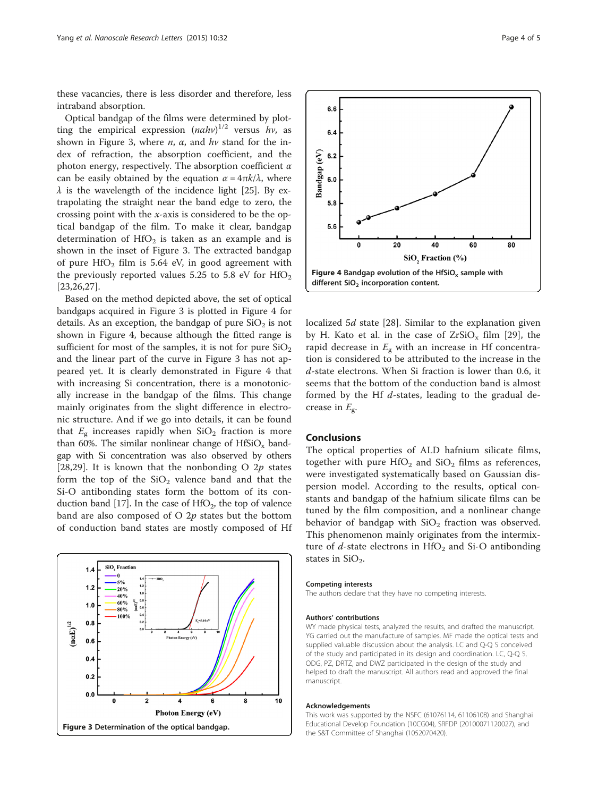these vacancies, there is less disorder and therefore, less intraband absorption.

Optical bandgap of the films were determined by plotting the empirical expression  $(nahv)^{1/2}$  versus hv, as shown in Figure 3, where  $n$ ,  $\alpha$ , and  $hv$  stand for the index of refraction, the absorption coefficient, and the photon energy, respectively. The absorption coefficient  $\alpha$ can be easily obtained by the equation  $\alpha = 4\pi k/\lambda$ , where  $\lambda$  is the wavelength of the incidence light [\[25](#page-4-0)]. By extrapolating the straight near the band edge to zero, the crossing point with the x-axis is considered to be the optical bandgap of the film. To make it clear, bandgap determination of  $HfO<sub>2</sub>$  is taken as an example and is shown in the inset of Figure 3. The extracted bandgap of pure  $HfO<sub>2</sub>$  film is 5.64 eV, in good agreement with the previously reported values 5.25 to 5.8 eV for  $HfO<sub>2</sub>$ [[23,26,27](#page-4-0)].

Based on the method depicted above, the set of optical bandgaps acquired in Figure 3 is plotted in Figure 4 for details. As an exception, the bandgap of pure  $SiO<sub>2</sub>$  is not shown in Figure 4, because although the fitted range is sufficient for most of the samples, it is not for pure  $SiO<sub>2</sub>$ and the linear part of the curve in Figure 3 has not appeared yet. It is clearly demonstrated in Figure 4 that with increasing Si concentration, there is a monotonically increase in the bandgap of the films. This change mainly originates from the slight difference in electronic structure. And if we go into details, it can be found that  $E_g$  increases rapidly when  $SiO_2$  fraction is more than 60%. The similar nonlinear change of  $HfSiO<sub>x</sub>$  bandgap with Si concentration was also observed by others [[28,29](#page-4-0)]. It is known that the nonbonding O  $2p$  states form the top of the  $SiO<sub>2</sub>$  valence band and that the Si-O antibonding states form the bottom of its con-duction band [\[17\]](#page-4-0). In the case of  $HfO<sub>2</sub>$ , the top of valence band are also composed of  $O$  2p states but the bottom of conduction band states are mostly composed of Hf





localized 5*d* state [\[28](#page-4-0)]. Similar to the explanation given by H. Kato et al. in the case of  $ZrSiO<sub>x</sub>$  film [[29\]](#page-4-0), the rapid decrease in  $E_g$  with an increase in Hf concentration is considered to be attributed to the increase in the d-state electrons. When Si fraction is lower than 0.6, it seems that the bottom of the conduction band is almost formed by the Hf  $d$ -states, leading to the gradual decrease in  $E_{\rm g}$ .

### **Conclusions**

The optical properties of ALD hafnium silicate films, together with pure  $HfO<sub>2</sub>$  and  $SiO<sub>2</sub>$  films as references, were investigated systematically based on Gaussian dispersion model. According to the results, optical constants and bandgap of the hafnium silicate films can be tuned by the film composition, and a nonlinear change behavior of bandgap with  $SiO<sub>2</sub>$  fraction was observed. This phenomenon mainly originates from the intermixture of  $d$ -state electrons in  $HfO<sub>2</sub>$  and Si-O antibonding states in  $SiO<sub>2</sub>$ .

#### Competing interests

The authors declare that they have no competing interests.

#### Authors' contributions

WY made physical tests, analyzed the results, and drafted the manuscript. YG carried out the manufacture of samples. MF made the optical tests and supplied valuable discussion about the analysis. LC and Q-Q S conceived of the study and participated in its design and coordination. LC, Q-Q S, ODG, PZ, DRTZ, and DWZ participated in the design of the study and helped to draft the manuscript. All authors read and approved the final manuscript.

#### Acknowledgements

This work was supported by the NSFC (61076114, 61106108) and Shanghai Educational Develop Foundation (10CG04), SRFDP (20100071120027), and